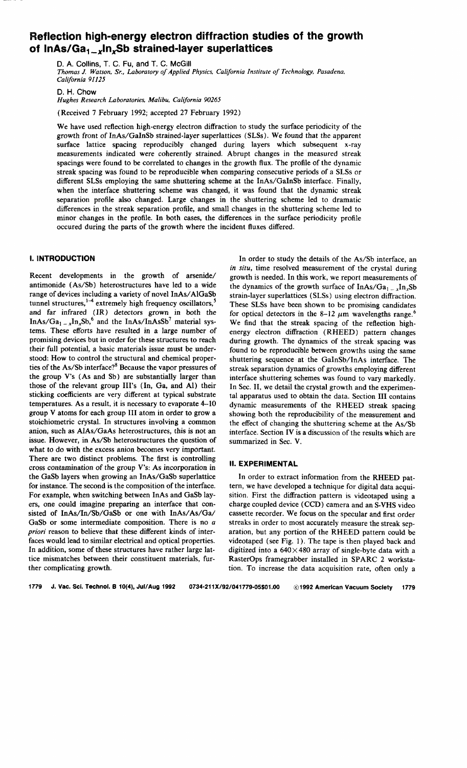# **Reflection high-energy electron diffraction studies of the growth**  of InAs/Ga<sub>1-x</sub>In<sub>x</sub>Sb strained-layer superlattices

D. A. Collins, T. C. Fu, and T. C. McGill

*Thomas* J. *Watson, Sr., Laboratory of Applied Physics, California Institute of Technology, Pasadena, California 91125* 

D. H. Chow *Hughes Research Laboratories, Malibu, California 90265* 

(Received 7 February 1992; accepted 27 February 1992)

We have used reflection high-energy electron diffraction to study the surface periodicity of the growth front of lnAs/GalnSb strained-layer superlattices (SLSs). We found that the apparent surface lattice spacing reproducibly changed during layers which subsequent x-ray measurements indicated were coherently strained. Abrupt changes in the measured streak spacings were found to be correlated to changes in the growth flux. The profile of the dynamic streak spacing was found to be reproducible when comparing consecutive periods of a SLSs or different SLSs employing the same shuttering scheme at the InAs/GaInSb interface. Finally, when the interface shuttering scheme was changed, it was found that the dynamic streak separation profile also changed. Large changes in the shuttering scheme led to dramatic differences in the streak separation profile, and small changes in the shuttering scheme led to minor changes in the profile. In both cases, the differences in the surface periodicity profile occured during the parts of the growth where the incident fluxes differed.

## I. **INTRODUCTION**

Recent developments in the growth of arsenide/ antimonide (As/Sb) heterostructures have led to a wide range of devices including a variety of novel InAs/ AlGaSb tunnel structures,<sup>1-4</sup> extremely high frequency oscillators,<sup>3</sup> and far infrared ( IR) detectors grown *in* both the  $InAs/Ga_{1-x}In_xSb$ , and the InAs/InAsSb<sup>7</sup> material systems. These efforts have resulted in a large number of promising devices but in order for these structures to reach their full potential, a basic materials issue must be understood: How to control the structural and chemical properties of the As/Sb interface?8 Because the vapor pressures of the group V's (As and Sb) are substantially larger than those of the relevant group III's (In, Ga, and AI) their sticking coefficients are very different at typical substrate temperatures. As a result, it is necessary to evaporate 4-10 group V atoms for each group III atom in order to grow a stoichiometric crystal. In structures involving a common anion, such as AIAs/GaAs heterostructures, this *is* not an issue. However, in As/Sh heterostructures the question of what to do with the excess anion becomes very important. There are two distinct problems. The first is controlling cross contamination of the group V's: As incorporation in the GaSh layers when growing an InAs/GaSh superlattice for instance. The second is the composition of the interface. For example, when switching between InAs and GaSh layers, one could imagine preparing an interface that consisted of InAs/In/Sb/GaSb or one with InAs/As/Ga/ GaSb or some intermediate composition. There is no a *priori* reason to believe that these different kinds of interfaces would lead to similar electrical and optical properties. In addition, some of these structures have rather large lattice mismatches between their constituent materials, further complicating growth.

1779 J. Vac. Sci. Techno!. **B** 10(4), Jui/Aug 1992 0734-211 X/92/041779-05\$0 1.00 ©1992 American Vacuum Society 1779

In order to study the details of the As/Sh interface, an *in situ,* time resolved measurement of the crystal during growth is needed. In this work, we report measurements of the dynamics of the growth surface of  $InAs/Ga_{1-x}In<sub>x</sub>Sb$ strain-layer superlattices ( SLSs) using electron diffraction. These SLSs have been shown to be promising candidates for optical detectors in the 8-12  $\mu$ m wavelengths range.<sup>6</sup> We find that the streak spacing of the reflection highenergy electron diffraction ( RHEED) pattern changes during growth. The dynamics of the streak spacing was found to be reproducible between growths using the same shuttering sequence at the GaInSb/InAs interface. The streak separation dynamics of growths employing different interface shuttering schemes was found to vary markedly. In Sec. II, we detail the crystal growth and the experimental apparatus used to obtain the data. Section III contains dynamic measurements of the RHEED streak spacing showing both the reproducibility of the measurement and the effect of changing the shuttering scheme at the As/Sb interface. Section IV is a discussion of the results which are summarized in Sec. V.

## II. **EXPERIMENTAL**

In order to extract information from the RHEED pattern, we have developed a technique for digital data acquisition. First the diffraction pattern is videotaped using a charge coupled device ( CCD) camera and an S-VHS video cassette recorder. We focus on the specular and first order streaks in order to most accurately measure the streak separation, but any portion of the RHEED pattern could be videotaped (see Fig. I). The tape is then played back and digitized into a  $640\times480$  array of single-byte data with a RasterOps framegrabber installed in SPARC 2 workstation. To increase the data acquisition rate, often only a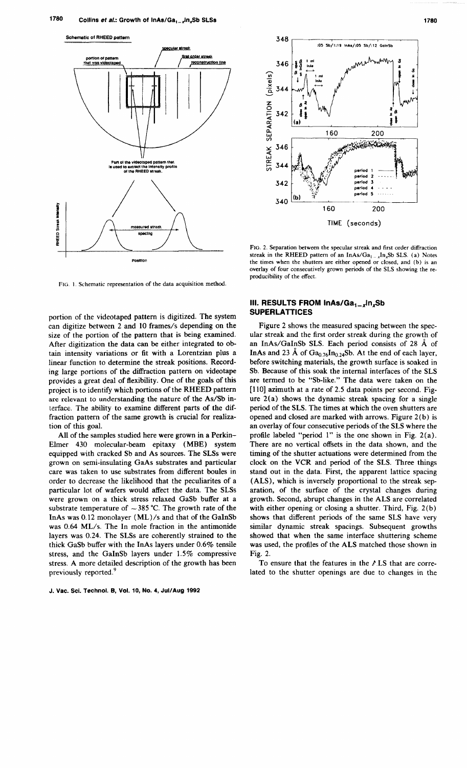

FIG. I. Schematic representation of the data acquisition method.

portion of the videotaped pattern is digitized. The system can digitize between 2 and 10 frames/s depending on the size of the portion of the pattern that is being examined. After digitization the data can be either integrated to obtain intensity variations or fit with a Lorentzian pius a linear function to determine the streak positions. Recording large portions of the diffraction pattern on videotape provides a great deal of flexibility. One of the goals of this project is to identify which portions of the RHEED pattern are relevant to understanding the nature of the As/Sb interface. The ability to examine different parts of the diffraction pattern of the same growth is crucial for realization of this goal.

All of the samples studied here were grown in a Perkin-Elmer 430 molecular-beam epitaxy (MBE) system equipped with cracked Sb and As sources. The SLSs were grown on semi-insulating GaAs substrates and particular care was taken to use substrates from different boules in order to decrease the likelihood that the peculiarites of a particular lot of wafers would affect the data. The SLSs were grown on a thick stress relaxed GaSb buffer at a substrate temperature of  $\sim$  385 °C. The growth rate of the lnAs was 0.12 monolayer (ML)/s and that of the GalnSb was 0.64 ML/s. The In mole fraction in the antimonide layers was 0.24. The SLSs are coherently strained to the thick GaSb buffer with the InAs layers under 0.6% tensile stress, and the GalnSb layers under 1.5% compressive stress. A more detailed description of the growth has been previously reported.<sup>9</sup>

J. Vac. Sci. Technol. B, Vol. 10, No. 4, Jul/Aug 1992



FIG. 2. Separation between the specular streak and first order diffraction streak in the RHEED pattern of an InAs/Ga<sub>1-x</sub>In<sub>x</sub>Sb SLS. (a) Notes the times when the shutters are either opened or closed, and (b) is an overlay of four consecutively grown periods of the SLS showing the re· producibility of the effect.

# III. RESULTS FROM  $lnAs/Ga_{1-x}ln_xSb$ **SUPERLATTICES**

Figure 2 shows the measured spacing between the specular streak and the first order streak during the growth of an InAs/GalnSb SLS. Each period consists of 28 A of InAs and 23 Å of  $Ga_{0.76}In_{0.24}Sb$ . At the end of each layer, before switching materials, the growth surface is soaked in Sb. Because of this soak the internal interfaces of the SLS are termed to be "Sb-like." The data were taken on the [110] azimuth at a rate of 2.5 data points per second. Figure 2(a) shows the dynamic streak spacing for a single period of the SLS. The times at which the oven shutters are opened and closed are marked with arrows. Figure 2(b) is an overlay of four consecutive periods of the SLS where the profile labeled "period l" is the one shown in Fig. 2 (a). There are no vertical offsets in the data shown, and the timing of the shutter actuations were determined from the clock on the VCR and period of the SLS. Three things stand out in the data. First, the apparent lattice spacing (ALS), which is inversely proportional to the streak separation, of the surface of the crystal changes during growth. Second, abrupt changes in the ALS are correlated with either opening or closing a shutter. Third, Fig. 2(b) shows that different periods of the same SLS have very similar dynamic streak spacings. Subsequent growths showed that when the same interface shuttering scheme was used, the profiles of the ALS matched those shown in Fig. 2.

To ensure that the features in the *ILS* that are correlated to the shutter openings are due to changes in the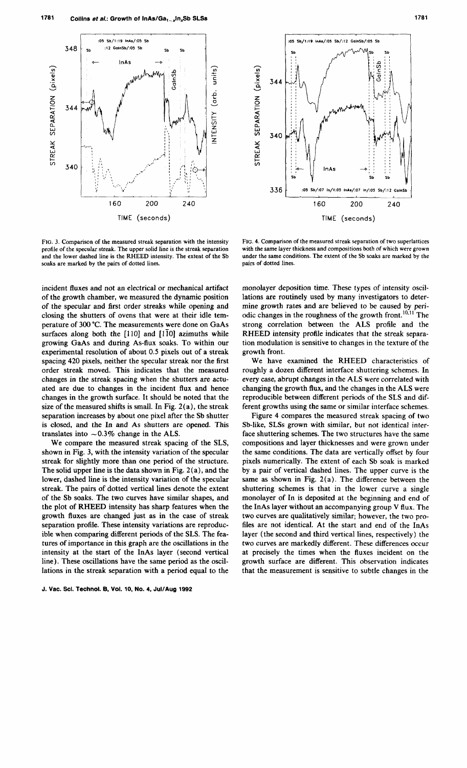

FIG. 3. Comparison of the measured streak separation with the intensity profile of the specular streak. The upper solid line is the streak separation and the lower dashed line is the RHEED intensity. The extent of the Sb soaks are marked by the pairs of dotted lines.

incident fluxes and not an electrical or mechanical artifact of the growth chamber, we measured the dynamic position of the specular and first order streaks while opening and closing the shutters of ovens that were at their idle temperature of 300 °C. The measurements were done on GaAs surfaces along both the  $[110]$  and  $[1\overline{1}0]$  azimuths while growing GaAs and during As-flux soaks. To within our experimental resolution of about 0.5 pixels out of a streak spacing 420 pixels, neither the specular streak nor the first order streak moved. This indicates that the measured changes in the streak spacing when the shutters are actuated are due to changes in the incident flux and hence changes in the growth surface. It should be noted that the size of the measured shifts is small. In Fig.  $2(a)$ , the streak separation increases by about one pixel after the Sb shutter is closed, and the In and As shutters are opened. This translates into  $\sim 0.3\%$  change in the ALS.

We compare the measured streak spacing of the SLS, shown in Fig. 3, with the intensity variation of the specular streak for slightly more than one period of the structure. The solid upper line is the data shown in Fig. 2(a), and the lower, dashed line is the intensity variation of the specular streak. The pairs of dotted vertical lines denote the extent of the Sb soaks. The two curves have similar shapes, and the plot of RHEED intensity has sharp features when the growth fluxes are changed just as in the case of streak separation profile. These intensity variations are reproducible when comparing different periods of the SLS. The features of importance in this graph are the oscillations in the intensity at the start of the InAs layer (second vertical line). These oscillations have the same period as the oscillations in the streak separation with a period equal to the

J. Vac. Sci. Techno!. B, Vol. 10, No.4, Jui/Aug 1992



FIG. 4. Comparison of the measured streak separation of two superlattices with the same layer thickness and compositions both of which were grown under the same conditions. The extent of the Sb soaks are marked by the pairs of dotted lines.

monolayer deposition time. These types of intensity oscillations are routinely used by many investigators to determine growth rates and are believed to be caused by periodic changes in the roughness of the growth front.<sup>10,11</sup> The strong correlation between the ALS profile and the RHEED intensity profile indicates that the streak separation modulation is sensitive to changes in the texture of the growth front.

We have examined the RHEED characteristics of roughly a dozen different interface shuttering schemes. In every case, abrupt changes in the ALS were correlated with changing the growth flux, and the changes in the ALS were reproducible between different periods of the SLS and different growths using the same or similar interface schemes.

Figure 4 compares the measured streak spacing of two Sb-like, SLSs grown with similar, but not identical interface shuttering schemes. The two structures have the same compositions and layer thicknesses and were grown under the same conditions. The data are vertically offset by four pixels numerically. The extent of each Sb soak is marked by a pair of vertical dashed lines. The upper curve is the same as shown in Fig. 2(a). The difference between the shuttering schemes is that in the lower curve a single monolayer of In is deposited at the beginning and end of the lnAs layer without an accompanying group V flux. The two curves are qualitatively similar; however, the two profiles are not identical. At the start and end of the InAs layer (the second and third vertical lines, respectively) the two curves are markedly different. These differences occur at precisely the times when the fluxes incident on the growth surface are different. This observation indicates that the measurement is sensitive to subtle changes in the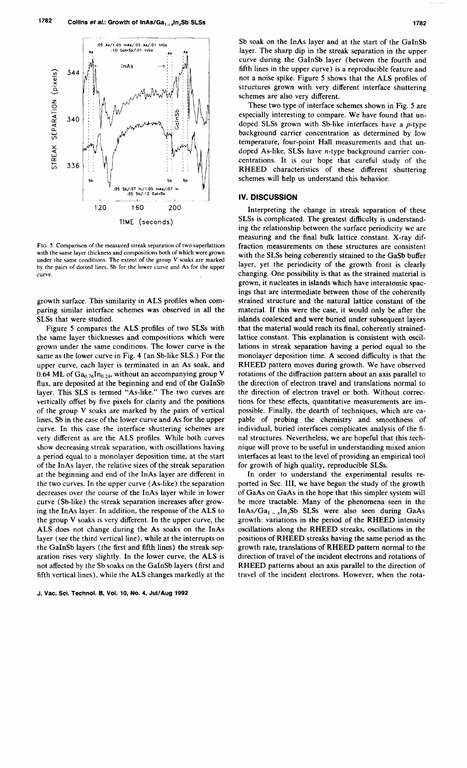

FIG. 5. Comparison of the measured streak separation of two superlattices with the same layer thickness and compositions both of which were grown under the same conditions. The extent of the group V soaks are marked by the pairs of dotted lines, Sb for the lower curve and As for the upper curve.

growth surface. This similarity in ALS profiles when comparing similar interface schemes was observed in all *the*  SLSs that were studied.

Figure 5 compares the ALS profiles of two SLSs with the same layer thicknesses and compositions which were grown under the same conditions. The lower curve is the same as the lower curve in Fig. 4 (an Sb-like SLS.) For the upper curve, each layer is terminated in an As soak, and 0.64 ML of  $Ga_{0.76}In_{0.24}$ , without an accompanying group V flux, are deposited at the beginning and end of the GalnSb layer. This SLS is termed "As-like." The two curves are vertically offset by five pixels for clarity and the positions of the group V soaks are marked by the pairs of vertical lines, Sb in the case of the lower curve and As for the upper curve. In this case the interface shuttering schemes are very different as are the ALS profiles. While both curves show decreasing streak separation, with oscillations having a period equal to a monolayer deposition time, at the start of the InAs layer, the relative sizes of the streak separation at the beginning and end of the InAs layer are different in the two curves. In the upper curve (As-like) the separation decreases over the course of the InAs layer while in lower curve ( Sb-like) the streak separation increases after growing the lnAs layer. In addition, the response of the ALS to the group V soaks is very different. In the upper curve, the ALS does not change during the As soaks on the InAs layer (see the third vertical line), while at the interrupts on the GalnSb layers (the first and fifth lines) the streak separation rises very slightly. In the lower curve, the ALS is not affected by the Sb soaks on the GalnSb layers (first and fifth vertical lines), while the ALS changes markedly at the

J. Vac. Sci. Technol. B, Vol. 10, No.4, Jui/Aug 1992

Sb soak on the InAs layer and at the start of the GalnSb layer. The sharp dip in the streak separation in the upper curve during the GaInSb layer (between the fourth and fifth lines in the upper curve) is a reproducible feature and not a noise spike. Figure 5 shows that the ALS profiles of structures grown with very different interface shuttering schemes are also very different.

These two type of interface schemes shown in Fig. 5 are especially interesting to compare. We have found that undoped SLSs grown with Sb-like interfaces have a p-type background carrier concentration as determined by low temperature, four-point Hall measurements and that undoped As-like, SLSs have n-type background carrier concentrations. It is our hope that careful study of the RHEED characteristics of these different shuttering schemes will help us understand this behavior.

## IV. DISCUSSION

Interpreting the change in streak separation of these SLSs is complicated. The greatest difficulty is understanding the relationship between the surface periodicity we are measuring and the final bulk lattice constant. X-ray diffraction measurements on these structures are consistent with the SLSs being coherently strained to the GaSb buffer layer, yet the periodicity of the growth front is clearly changing. One possibility is that as the strained material is grown, it nucleates in islands which have interatomic spacings that are intermediate between those of the coherently strained structure and the natural lattice constant of the material. If this were the case, it would only be after the islands coalesced and were buried under subsequent layers that the material would reach its final, coherently strainedlattice constant. This explanation is consistent with oscillations in streak separation having a period equal to the monolayer deposition time. A second difficulty is that the RHEED pattern moves during growth. We have observed rotations of the diffraction pattern about an axis parallel to the direction of electron travel and translations normal to the direction of electron travel or both. Without corrections for these effects, quantitative measurements are impossible. Finally, the dearth of techniques, which are capable of probing the chemistry and smoothness of individual, buried interfaces complicates analysis of the final structures. Nevertheless, we are hopeful that this technique will prove to be useful in understanding mixed anion interfaces at least to the level of providing an empirical tool for growth of high quality, reproducible SLSs.

In order to understand the experimental results reported in Sec. III, we have begun the study of the growth of GaAs on GaAs in the hope that this simpler system will be more tractable. Many of the phenomena seen in the InAs/Ga<sub>1 - x</sub>In<sub>x</sub>Sb SLSs were also seen during GaAs growth: variations in the period of the RHEED intensity oscillations along the RHEED streaks, oscillations in the positions of RHEED streaks having the same period as the growth rate, translations of RHEED pattern normal to the direction of travel of the incident electrons and rotations of RHEED patterns about an axis parallel to the direction of travel of the incident electrons. However, when the rota